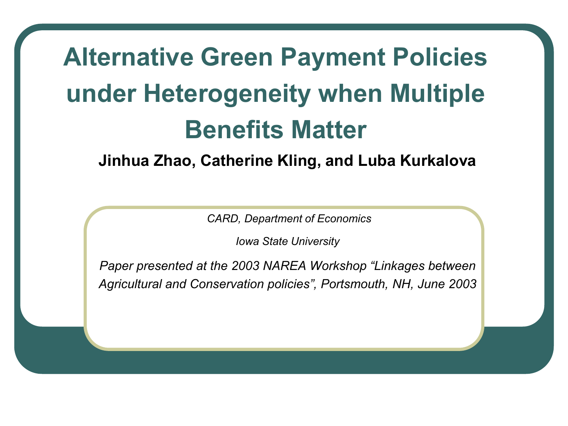# **Alternative Green Payment Policies under Heterogeneity when Multiple Benefits Matter**

**Jinhua Zhao, Catherine Kling, and Luba Kurkalova** 

 *CARD, Department of Economics* 

*Iowa State University* 

*Paper presented at the 2003 NAREA Workshop "Linkages between Agricultural and Conservation policies", Portsmouth, NH, June 2003*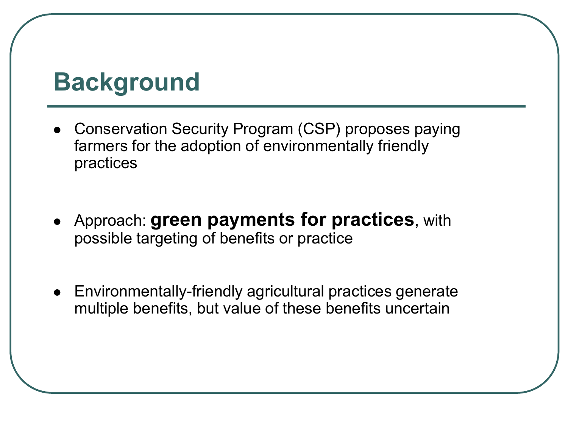#### **Background**

- Conservation Security Program (CSP) proposes paying farmers for the adoption of environmentally friendly practices
- Approach: **green payments for practices**, with possible targeting of benefits or practice
- Environmentally-friendly agricultural practices generate multiple benefits, but value of these benefits uncertain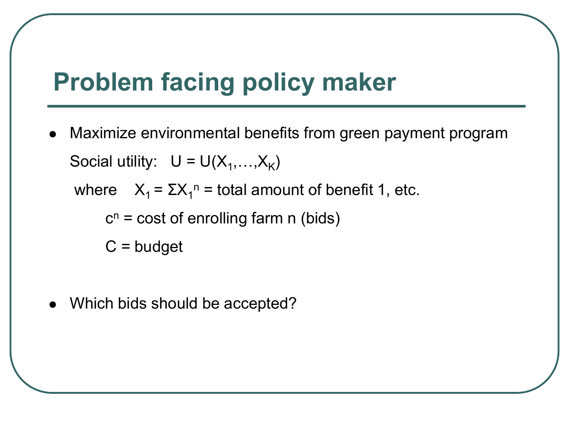### **Problem facing policy maker**

 Maximize environmental benefits from green payment program Social utility:  $U = U(X_1,...,X_K)$ 

where  $X_1 = \Sigma X_1^n =$  total amount of benefit 1, etc.

 $c^n$  = cost of enrolling farm n (bids)

 $C = budget$ 

Which bids should be accepted?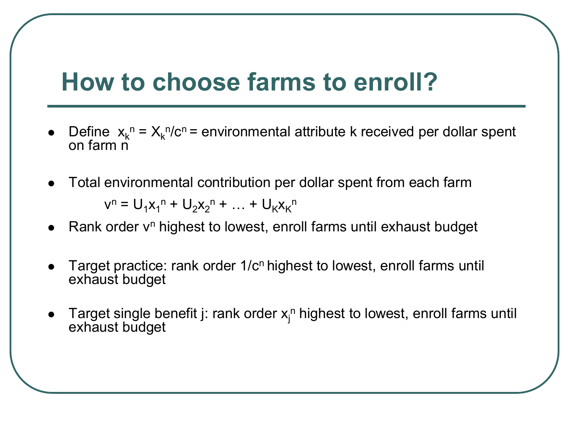### **How to choose farms to enroll?**

- Define  $x_k^n = X_k^n/c^n$  = environmental attribute k received per dollar spent on farm n
- Total environmental contribution per dollar spent from each farm

 $v^{n} = U_1 x_1^{n} + U_2 x_2^{n} + ... + U_K x_K^{n}$ 

- Rank order v<sup>n</sup> highest to lowest, enroll farms until exhaust budget
- Target practice: rank order 1/c<sup>n</sup> highest to lowest, enroll farms until exhaust budget
- Target single benefit j: rank order  $x_j^n$  highest to lowest, enroll farms until exhaust budget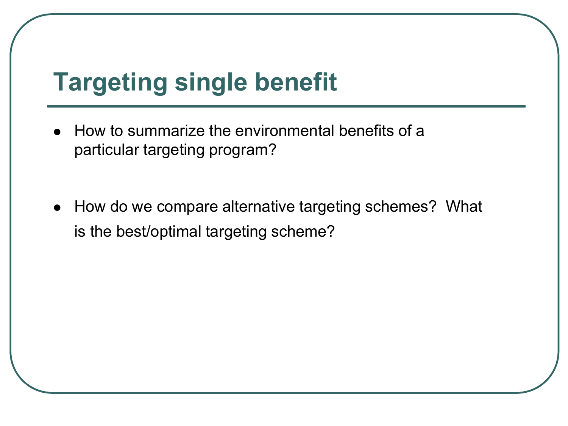### **Targeting single benefit**

- How to summarize the environmental benefits of a particular targeting program?
- How do we compare alternative targeting schemes? What is the best/optimal targeting scheme?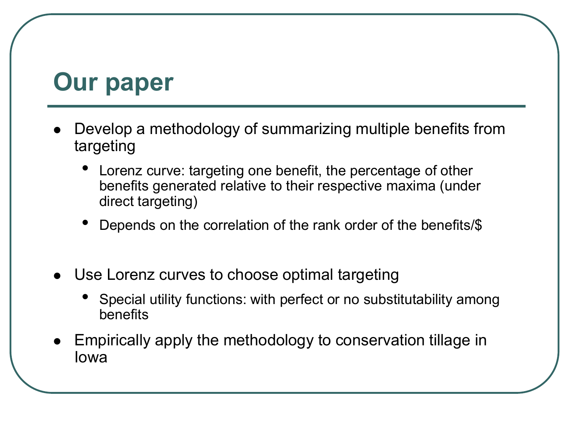#### **Our paper**

- Develop a methodology of summarizing multiple benefits from targeting
	- Lorenz curve: targeting one benefit, the percentage of other benefits generated relative to their respective maxima (under direct targeting)
	- Depends on the correlation of the rank order of the benefits/\$
- Use Lorenz curves to choose optimal targeting
	- Special utility functions: with perfect or no substitutability among benefits
- Empirically apply the methodology to conservation tillage in Iowa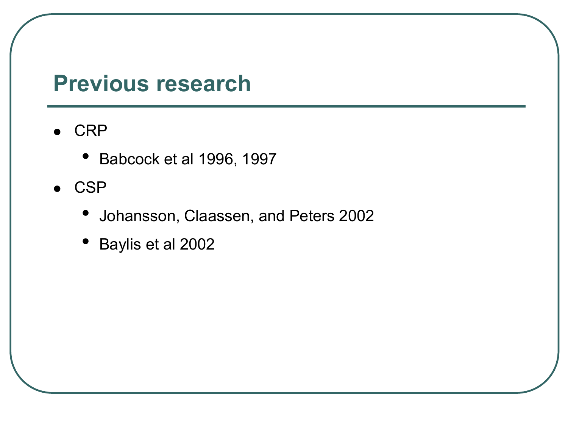#### **Previous research**

- $\bullet$  CRP
	- Babcock et al 1996, 1997
- $\bullet$  CSP
	- Johansson, Claassen, and Peters 2002
	- Baylis et al 2002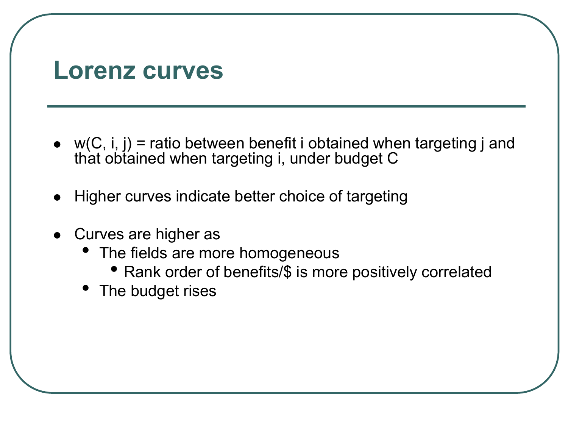#### **Lorenz curves**

- $\bullet$  w(C, i, j) = ratio between benefit i obtained when targeting j and that obtained when targeting i, under budget C
- Higher curves indicate better choice of targeting
- Curves are higher as
	- The fields are more homogeneous
		- Rank order of benefits/\$ is more positively correlated
	- The budget rises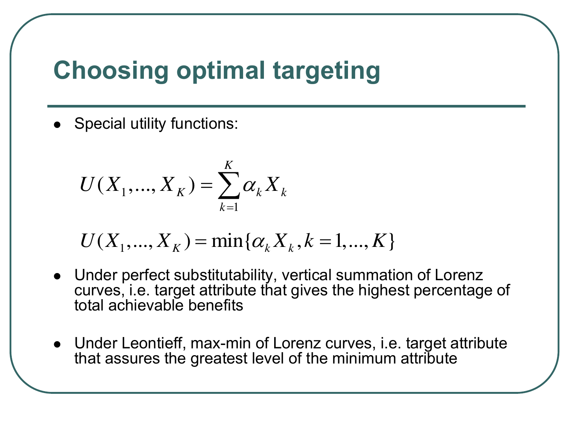### **Choosing optimal targeting**

• Special utility functions:

$$
U(X_1,...,X_K) = \sum_{k=1}^K \alpha_k X_k
$$

$$
U(X_1, ..., X_K) = \min\{\alpha_k X_k, k = 1, ..., K\}
$$

- Under perfect substitutability, vertical summation of Lorenz curves, i.e. target attribute that gives the highest percentage of total achievable benefits
- Under Leontieff, max-min of Lorenz curves, i.e. target attribute that assures the greatest level of the minimum attribute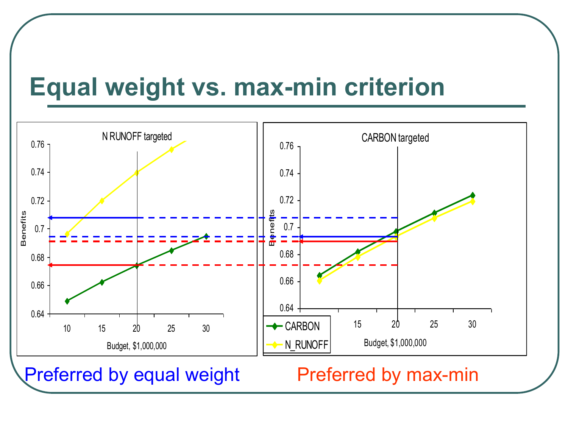#### **Equal weight vs. max-min criterion**



Preferred by equal weight Preferred by max-min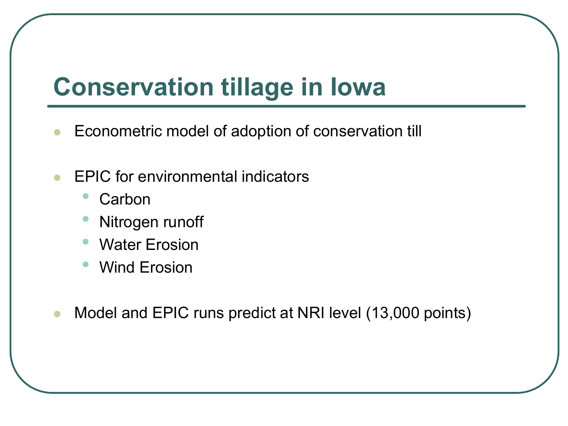### **Conservation tillage in Iowa**

- Econometric model of adoption of conservation till
- EPIC for environmental indicators
	- **Carbon**
	- **Nitrogen runoff**
	- Water Erosion
	- Wind Erosion
- Model and EPIC runs predict at NRI level (13,000 points)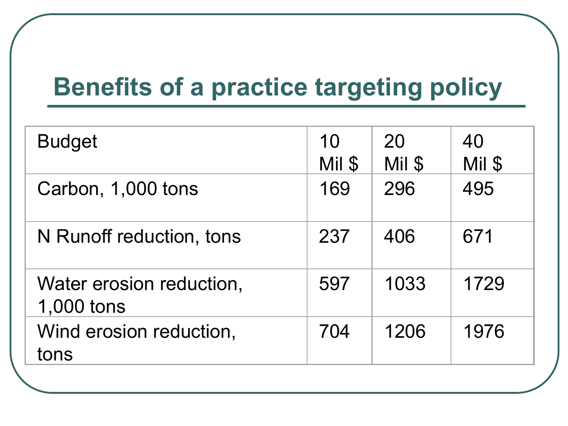### **Benefits of a practice targeting policy**

| <b>Budget</b>                          | 10<br>Mil \$ | 20<br>Mil \$ | 40<br>Mil \$ |
|----------------------------------------|--------------|--------------|--------------|
| Carbon, 1,000 tons                     | 169          | 296          | 495          |
| N Runoff reduction, tons               | 237          | 406          | 671          |
| Water erosion reduction,<br>1,000 tons | 597          | 1033         | 1729         |
| Wind erosion reduction,<br>tons        | 704          | 1206         | 1976         |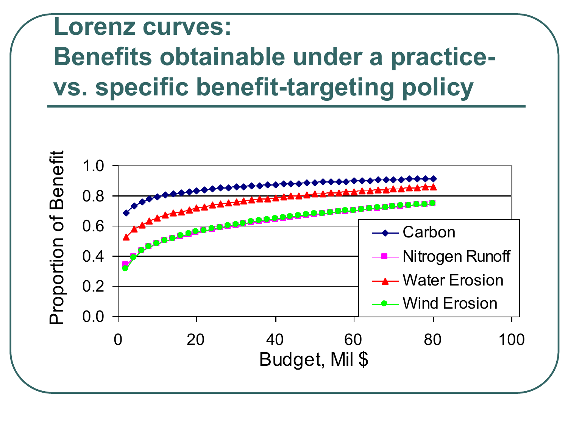# **Lorenz curves: Benefits obtainable under a practicevs. specific benefit-targeting policy**

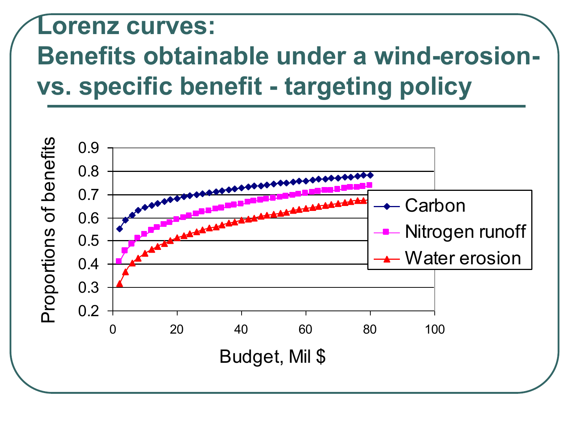# **Lorenz curves: Benefits obtainable under a wind-erosionvs. specific benefit - targeting policy**

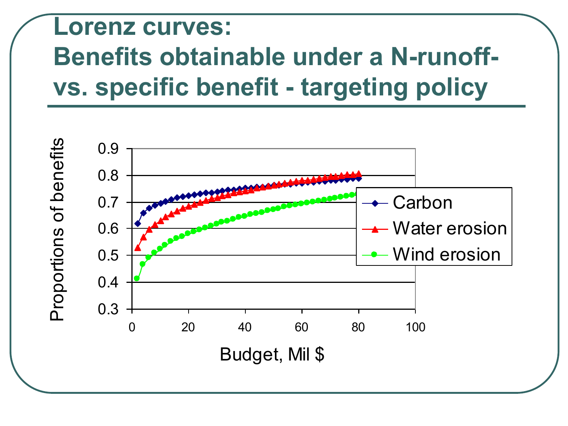# **Lorenz curves: Benefits obtainable under a N-runoffvs. specific benefit - targeting policy**

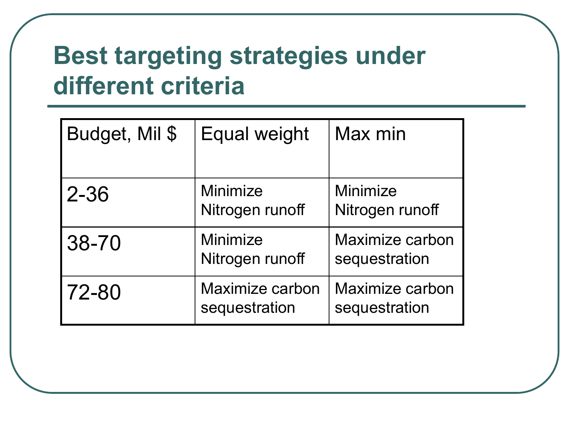### **Best targeting strategies under different criteria**

| Budget, Mil \$ | Equal weight                     | Max min                          |
|----------------|----------------------------------|----------------------------------|
| $2 - 36$       | Minimize<br>Nitrogen runoff      | Minimize<br>Nitrogen runoff      |
| 38-70          | Minimize<br>Nitrogen runoff      | Maximize carbon<br>sequestration |
| 72-80          | Maximize carbon<br>sequestration | Maximize carbon<br>sequestration |